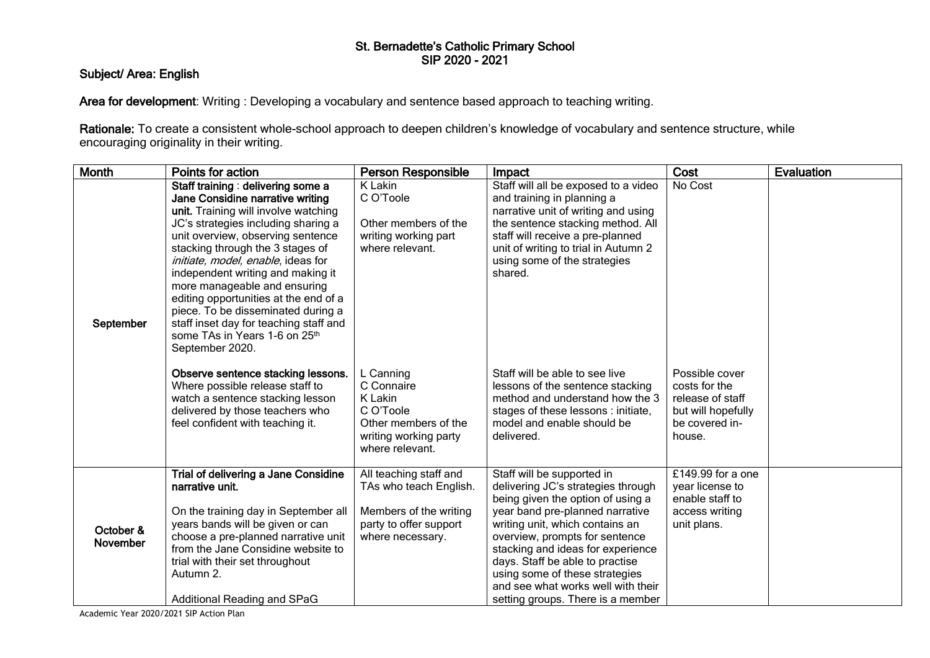## St. Bernadette's Catholic Primary School SIP 2020 - 2021

## Subject/ Area: English

Area for development: Writing : Developing a vocabulary and sentence based approach to teaching writing.

Rationale: To create a consistent whole-school approach to deepen children's knowledge of vocabulary and sentence structure, while encouraging originality in their writing.

| <b>Month</b>          | Points for action                                                                                                                                                                                                                                                                                                                                                                                                                                                                                                                                                                                                                                                                                         | <b>Person Responsible</b>                                                                                                                                                                                      | Impact                                                                                                                                                                                                                                                                                                                                                                                                                                                            | Cost                                                                                                             | Evaluation |
|-----------------------|-----------------------------------------------------------------------------------------------------------------------------------------------------------------------------------------------------------------------------------------------------------------------------------------------------------------------------------------------------------------------------------------------------------------------------------------------------------------------------------------------------------------------------------------------------------------------------------------------------------------------------------------------------------------------------------------------------------|----------------------------------------------------------------------------------------------------------------------------------------------------------------------------------------------------------------|-------------------------------------------------------------------------------------------------------------------------------------------------------------------------------------------------------------------------------------------------------------------------------------------------------------------------------------------------------------------------------------------------------------------------------------------------------------------|------------------------------------------------------------------------------------------------------------------|------------|
| September             | Staff training: delivering some a<br>Jane Considine narrative writing<br>unit. Training will involve watching<br>JC's strategies including sharing a<br>unit overview, observing sentence<br>stacking through the 3 stages of<br>initiate, model, enable, ideas for<br>independent writing and making it<br>more manageable and ensuring<br>editing opportunities at the end of a<br>piece. To be disseminated during a<br>staff inset day for teaching staff and<br>some TAs in Years 1-6 on 25th<br>September 2020.<br>Observe sentence stacking lessons.<br>Where possible release staff to<br>watch a sentence stacking lesson<br>delivered by those teachers who<br>feel confident with teaching it. | K Lakin<br>C O'Toole<br>Other members of the<br>writing working part<br>where relevant.<br>L Canning<br>C Connaire<br>K Lakin<br>C O'Toole<br>Other members of the<br>writing working party<br>where relevant. | Staff will all be exposed to a video<br>and training in planning a<br>narrative unit of writing and using<br>the sentence stacking method. All<br>staff will receive a pre-planned<br>unit of writing to trial in Autumn 2<br>using some of the strategies<br>shared.<br>Staff will be able to see live<br>lessons of the sentence stacking<br>method and understand how the 3<br>stages of these lessons : initiate,<br>model and enable should be<br>delivered. | No Cost<br>Possible cover<br>costs for the<br>release of staff<br>but will hopefully<br>be covered in-<br>house. |            |
| October &<br>November | Trial of delivering a Jane Considine<br>narrative unit.<br>On the training day in September all<br>years bands will be given or can<br>choose a pre-planned narrative unit<br>from the Jane Considine website to<br>trial with their set throughout<br>Autumn 2.<br>Additional Reading and SPaG                                                                                                                                                                                                                                                                                                                                                                                                           | All teaching staff and<br>TAs who teach English.<br>Members of the writing<br>party to offer support<br>where necessary.                                                                                       | Staff will be supported in<br>delivering JC's strategies through<br>being given the option of using a<br>year band pre-planned narrative<br>writing unit, which contains an<br>overview, prompts for sentence<br>stacking and ideas for experience<br>days. Staff be able to practise<br>using some of these strategies<br>and see what works well with their<br>setting groups. There is a member                                                                | £149.99 for a one<br>year license to<br>enable staff to<br>access writing<br>unit plans.                         |            |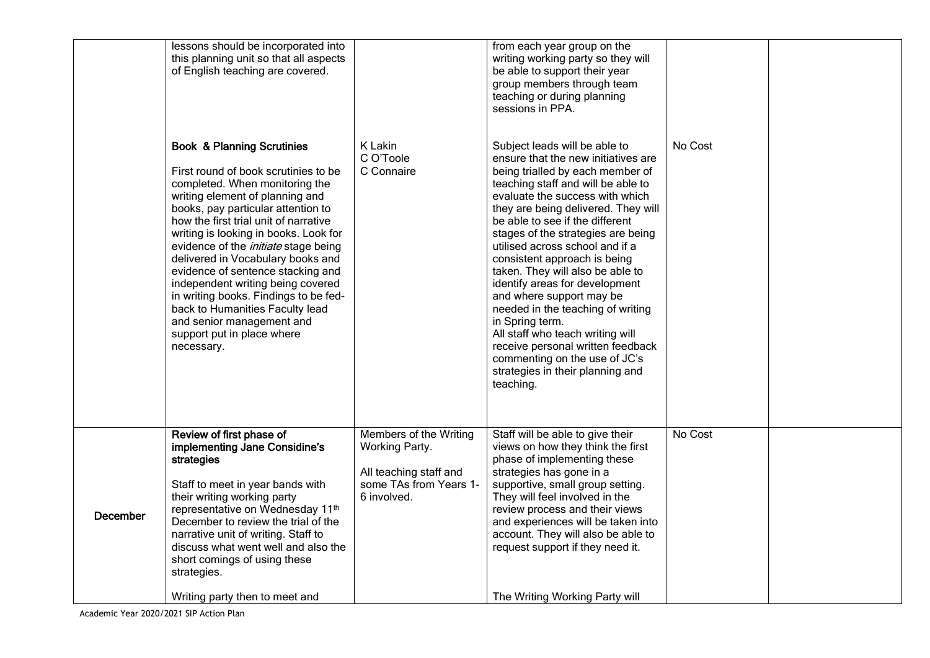|          | lessons should be incorporated into<br>this planning unit so that all aspects<br>of English teaching are covered.                                                                                                                                                                                                                                                                                                                                                                                                                                                                             |                                                                                                             | from each year group on the<br>writing working party so they will<br>be able to support their year<br>group members through team<br>teaching or during planning<br>sessions in PPA.                                                                                                                                                                                                                                                                                                                                                                                                                                                                                                       |         |  |
|----------|-----------------------------------------------------------------------------------------------------------------------------------------------------------------------------------------------------------------------------------------------------------------------------------------------------------------------------------------------------------------------------------------------------------------------------------------------------------------------------------------------------------------------------------------------------------------------------------------------|-------------------------------------------------------------------------------------------------------------|-------------------------------------------------------------------------------------------------------------------------------------------------------------------------------------------------------------------------------------------------------------------------------------------------------------------------------------------------------------------------------------------------------------------------------------------------------------------------------------------------------------------------------------------------------------------------------------------------------------------------------------------------------------------------------------------|---------|--|
|          | <b>Book &amp; Planning Scrutinies</b><br>First round of book scrutinies to be<br>completed. When monitoring the<br>writing element of planning and<br>books, pay particular attention to<br>how the first trial unit of narrative<br>writing is looking in books. Look for<br>evidence of the <i>initiate</i> stage being<br>delivered in Vocabulary books and<br>evidence of sentence stacking and<br>independent writing being covered<br>in writing books. Findings to be fed-<br>back to Humanities Faculty lead<br>and senior management and<br>support put in place where<br>necessary. | K Lakin<br>C O'Toole<br>C Connaire                                                                          | Subject leads will be able to<br>ensure that the new initiatives are<br>being trialled by each member of<br>teaching staff and will be able to<br>evaluate the success with which<br>they are being delivered. They will<br>be able to see if the different<br>stages of the strategies are being<br>utilised across school and if a<br>consistent approach is being<br>taken. They will also be able to<br>identify areas for development<br>and where support may be<br>needed in the teaching of writing<br>in Spring term.<br>All staff who teach writing will<br>receive personal written feedback<br>commenting on the use of JC's<br>strategies in their planning and<br>teaching. | No Cost |  |
| December | Review of first phase of<br>implementing Jane Considine's<br>strategies<br>Staff to meet in year bands with<br>their writing working party<br>representative on Wednesday 11th<br>December to review the trial of the<br>narrative unit of writing. Staff to<br>discuss what went well and also the<br>short comings of using these<br>strategies.<br>Writing party then to meet and                                                                                                                                                                                                          | Members of the Writing<br>Working Party.<br>All teaching staff and<br>some TAs from Years 1-<br>6 involved. | Staff will be able to give their<br>views on how they think the first<br>phase of implementing these<br>strategies has gone in a<br>supportive, small group setting.<br>They will feel involved in the<br>review process and their views<br>and experiences will be taken into<br>account. They will also be able to<br>request support if they need it.<br>The Writing Working Party will                                                                                                                                                                                                                                                                                                | No Cost |  |
|          |                                                                                                                                                                                                                                                                                                                                                                                                                                                                                                                                                                                               |                                                                                                             |                                                                                                                                                                                                                                                                                                                                                                                                                                                                                                                                                                                                                                                                                           |         |  |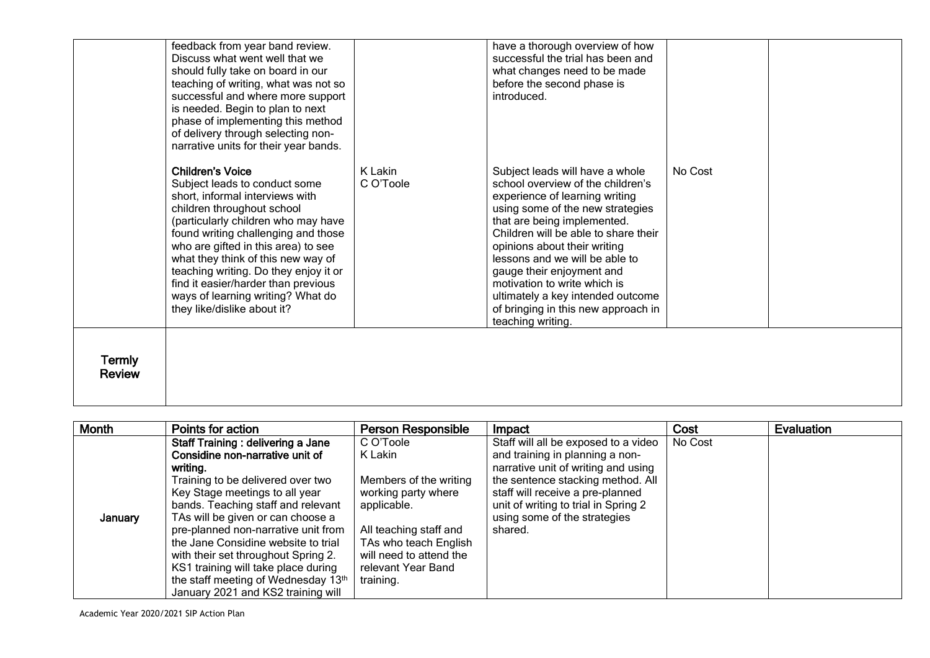| <b>Termly</b><br><b>Review</b> | children throughout school<br>(particularly children who may have<br>found writing challenging and those<br>who are gifted in this area) to see<br>what they think of this new way of<br>teaching writing. Do they enjoy it or<br>find it easier/harder than previous<br>ways of learning writing? What do<br>they like/dislike about it? |                      | using some of the new strategies<br>that are being implemented.<br>Children will be able to share their<br>opinions about their writing<br>lessons and we will be able to<br>gauge their enjoyment and<br>motivation to write which is<br>ultimately a key intended outcome<br>of bringing in this new approach in<br>teaching writing. |         |  |
|--------------------------------|-------------------------------------------------------------------------------------------------------------------------------------------------------------------------------------------------------------------------------------------------------------------------------------------------------------------------------------------|----------------------|-----------------------------------------------------------------------------------------------------------------------------------------------------------------------------------------------------------------------------------------------------------------------------------------------------------------------------------------|---------|--|
|                                | of delivery through selecting non-<br>narrative units for their year bands.<br><b>Children's Voice</b><br>Subject leads to conduct some<br>short, informal interviews with                                                                                                                                                                | K Lakin<br>C O'Toole | Subject leads will have a whole<br>school overview of the children's<br>experience of learning writing                                                                                                                                                                                                                                  | No Cost |  |
|                                | feedback from year band review.<br>Discuss what went well that we<br>should fully take on board in our<br>teaching of writing, what was not so<br>successful and where more support<br>is needed. Begin to plan to next<br>phase of implementing this method                                                                              |                      | have a thorough overview of how<br>successful the trial has been and<br>what changes need to be made<br>before the second phase is<br>introduced.                                                                                                                                                                                       |         |  |

| Month   | Points for action                                                                                                                                                                                                                                                                                                                                                                                                                                                           | <b>Person Responsible</b>                                                                                                                                                                             | Impact                                                                                                                                                                                                                                                                     | Cost    | Evaluation |
|---------|-----------------------------------------------------------------------------------------------------------------------------------------------------------------------------------------------------------------------------------------------------------------------------------------------------------------------------------------------------------------------------------------------------------------------------------------------------------------------------|-------------------------------------------------------------------------------------------------------------------------------------------------------------------------------------------------------|----------------------------------------------------------------------------------------------------------------------------------------------------------------------------------------------------------------------------------------------------------------------------|---------|------------|
| January | Staff Training: delivering a Jane<br>Considine non-narrative unit of<br>writing.<br>Training to be delivered over two<br>Key Stage meetings to all year<br>bands. Teaching staff and relevant<br>TAs will be given or can choose a<br>pre-planned non-narrative unit from<br>the Jane Considine website to trial<br>with their set throughout Spring 2.<br>KS1 training will take place during<br>the staff meeting of Wednesday 13th<br>January 2021 and KS2 training will | C O'Toole<br>K Lakin<br>Members of the writing<br>working party where<br>applicable.<br>All teaching staff and<br>TAs who teach English<br>will need to attend the<br>relevant Year Band<br>training. | Staff will all be exposed to a video<br>and training in planning a non-<br>narrative unit of writing and using<br>the sentence stacking method. All<br>staff will receive a pre-planned<br>unit of writing to trial in Spring 2<br>using some of the strategies<br>shared. | No Cost |            |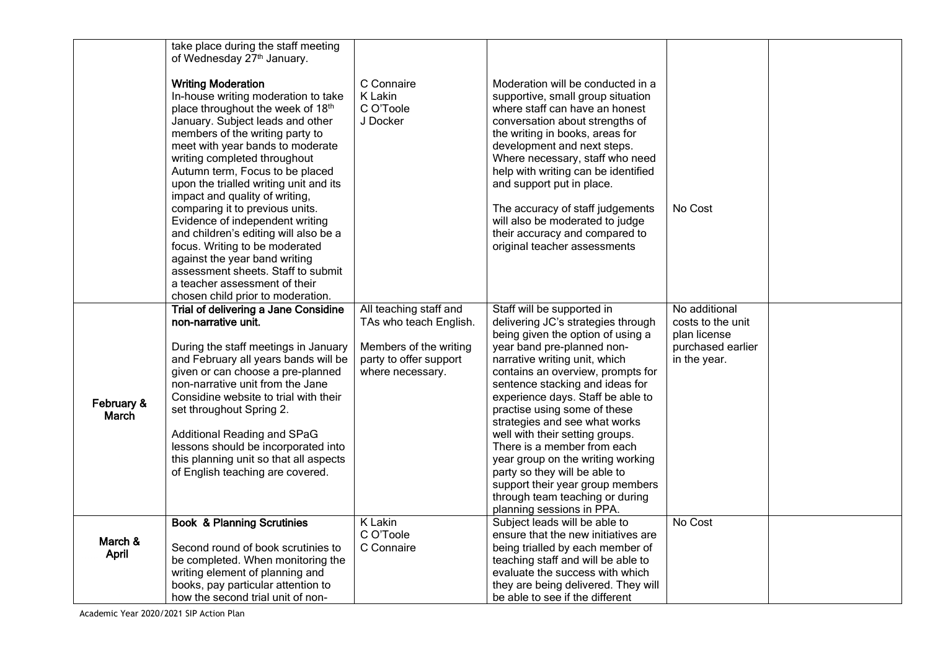|                     | take place during the staff meeting                                        |                        |                                                                        |                                   |  |
|---------------------|----------------------------------------------------------------------------|------------------------|------------------------------------------------------------------------|-----------------------------------|--|
|                     | of Wednesday 27th January.                                                 |                        |                                                                        |                                   |  |
|                     | <b>Writing Moderation</b>                                                  | C Connaire             | Moderation will be conducted in a                                      |                                   |  |
|                     | In-house writing moderation to take                                        | K Lakin                | supportive, small group situation                                      |                                   |  |
|                     | place throughout the week of 18th                                          | C O'Toole              | where staff can have an honest                                         |                                   |  |
|                     | January. Subject leads and other                                           | J Docker               | conversation about strengths of                                        |                                   |  |
|                     | members of the writing party to                                            |                        | the writing in books, areas for                                        |                                   |  |
|                     | meet with year bands to moderate                                           |                        | development and next steps.                                            |                                   |  |
|                     | writing completed throughout                                               |                        | Where necessary, staff who need                                        |                                   |  |
|                     | Autumn term, Focus to be placed                                            |                        | help with writing can be identified                                    |                                   |  |
|                     | upon the trialled writing unit and its                                     |                        | and support put in place.                                              |                                   |  |
|                     | impact and quality of writing,                                             |                        |                                                                        |                                   |  |
|                     | comparing it to previous units.<br>Evidence of independent writing         |                        | The accuracy of staff judgements<br>will also be moderated to judge    | No Cost                           |  |
|                     | and children's editing will also be a                                      |                        | their accuracy and compared to                                         |                                   |  |
|                     | focus. Writing to be moderated                                             |                        | original teacher assessments                                           |                                   |  |
|                     | against the year band writing                                              |                        |                                                                        |                                   |  |
|                     | assessment sheets. Staff to submit                                         |                        |                                                                        |                                   |  |
|                     | a teacher assessment of their                                              |                        |                                                                        |                                   |  |
|                     | chosen child prior to moderation.                                          |                        |                                                                        |                                   |  |
|                     | Trial of delivering a Jane Considine                                       | All teaching staff and | Staff will be supported in                                             | No additional                     |  |
|                     | non-narrative unit.                                                        | TAs who teach English. | delivering JC's strategies through                                     | costs to the unit                 |  |
|                     | During the staff meetings in January                                       | Members of the writing | being given the option of using a<br>year band pre-planned non-        | plan license<br>purchased earlier |  |
|                     | and February all years bands will be                                       | party to offer support | narrative writing unit, which                                          | in the year.                      |  |
|                     | given or can choose a pre-planned                                          | where necessary.       | contains an overview, prompts for                                      |                                   |  |
|                     | non-narrative unit from the Jane                                           |                        | sentence stacking and ideas for                                        |                                   |  |
|                     | Considine website to trial with their                                      |                        | experience days. Staff be able to                                      |                                   |  |
| February &<br>March | set throughout Spring 2.                                                   |                        | practise using some of these                                           |                                   |  |
|                     |                                                                            |                        | strategies and see what works                                          |                                   |  |
|                     | Additional Reading and SPaG                                                |                        | well with their setting groups.                                        |                                   |  |
|                     | lessons should be incorporated into                                        |                        | There is a member from each                                            |                                   |  |
|                     | this planning unit so that all aspects<br>of English teaching are covered. |                        | year group on the writing working<br>party so they will be able to     |                                   |  |
|                     |                                                                            |                        | support their year group members                                       |                                   |  |
|                     |                                                                            |                        | through team teaching or during                                        |                                   |  |
|                     |                                                                            |                        | planning sessions in PPA.                                              |                                   |  |
|                     | <b>Book &amp; Planning Scrutinies</b>                                      | K Lakin                | Subject leads will be able to                                          | No Cost                           |  |
| March &             |                                                                            | C O'Toole              | ensure that the new initiatives are                                    |                                   |  |
| April               | Second round of book scrutinies to                                         | C Connaire             | being trialled by each member of                                       |                                   |  |
|                     | be completed. When monitoring the                                          |                        | teaching staff and will be able to                                     |                                   |  |
|                     | writing element of planning and<br>books, pay particular attention to      |                        | evaluate the success with which<br>they are being delivered. They will |                                   |  |
|                     | how the second trial unit of non-                                          |                        | be able to see if the different                                        |                                   |  |
|                     |                                                                            |                        |                                                                        |                                   |  |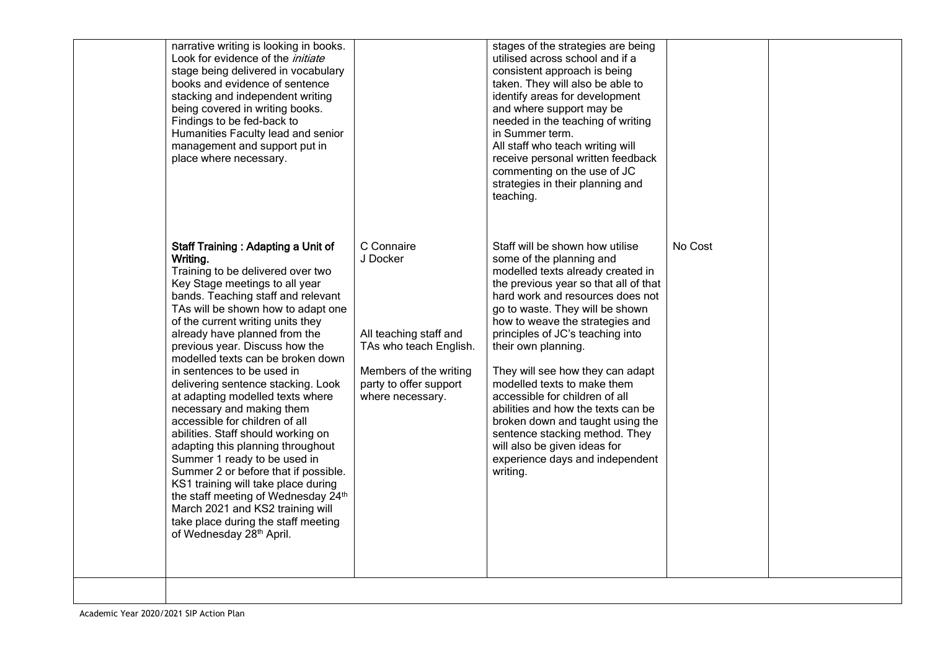| narrative writing is looking in books.<br>Look for evidence of the <i>initiate</i><br>stage being delivered in vocabulary<br>books and evidence of sentence<br>stacking and independent writing<br>being covered in writing books.<br>Findings to be fed-back to<br>Humanities Faculty lead and senior<br>management and support put in<br>place where necessary.                                                                                                                                                                                                                                                                                                                                                                                                                                                                                                    |                                                                                                                                                    | stages of the strategies are being<br>utilised across school and if a<br>consistent approach is being<br>taken. They will also be able to<br>identify areas for development<br>and where support may be<br>needed in the teaching of writing<br>in Summer term.<br>All staff who teach writing will<br>receive personal written feedback<br>commenting on the use of JC<br>strategies in their planning and<br>teaching.                                                                                                                                                                                       |         |  |
|----------------------------------------------------------------------------------------------------------------------------------------------------------------------------------------------------------------------------------------------------------------------------------------------------------------------------------------------------------------------------------------------------------------------------------------------------------------------------------------------------------------------------------------------------------------------------------------------------------------------------------------------------------------------------------------------------------------------------------------------------------------------------------------------------------------------------------------------------------------------|----------------------------------------------------------------------------------------------------------------------------------------------------|----------------------------------------------------------------------------------------------------------------------------------------------------------------------------------------------------------------------------------------------------------------------------------------------------------------------------------------------------------------------------------------------------------------------------------------------------------------------------------------------------------------------------------------------------------------------------------------------------------------|---------|--|
| <b>Staff Training: Adapting a Unit of</b><br>Writing.<br>Training to be delivered over two<br>Key Stage meetings to all year<br>bands. Teaching staff and relevant<br>TAs will be shown how to adapt one<br>of the current writing units they<br>already have planned from the<br>previous year. Discuss how the<br>modelled texts can be broken down<br>in sentences to be used in<br>delivering sentence stacking. Look<br>at adapting modelled texts where<br>necessary and making them<br>accessible for children of all<br>abilities. Staff should working on<br>adapting this planning throughout<br>Summer 1 ready to be used in<br>Summer 2 or before that if possible.<br>KS1 training will take place during<br>the staff meeting of Wednesday 24th<br>March 2021 and KS2 training will<br>take place during the staff meeting<br>of Wednesday 28th April. | C Connaire<br>J Docker<br>All teaching staff and<br>TAs who teach English.<br>Members of the writing<br>party to offer support<br>where necessary. | Staff will be shown how utilise<br>some of the planning and<br>modelled texts already created in<br>the previous year so that all of that<br>hard work and resources does not<br>go to waste. They will be shown<br>how to weave the strategies and<br>principles of JC's teaching into<br>their own planning.<br>They will see how they can adapt<br>modelled texts to make them<br>accessible for children of all<br>abilities and how the texts can be<br>broken down and taught using the<br>sentence stacking method. They<br>will also be given ideas for<br>experience days and independent<br>writing. | No Cost |  |
|                                                                                                                                                                                                                                                                                                                                                                                                                                                                                                                                                                                                                                                                                                                                                                                                                                                                      |                                                                                                                                                    |                                                                                                                                                                                                                                                                                                                                                                                                                                                                                                                                                                                                                |         |  |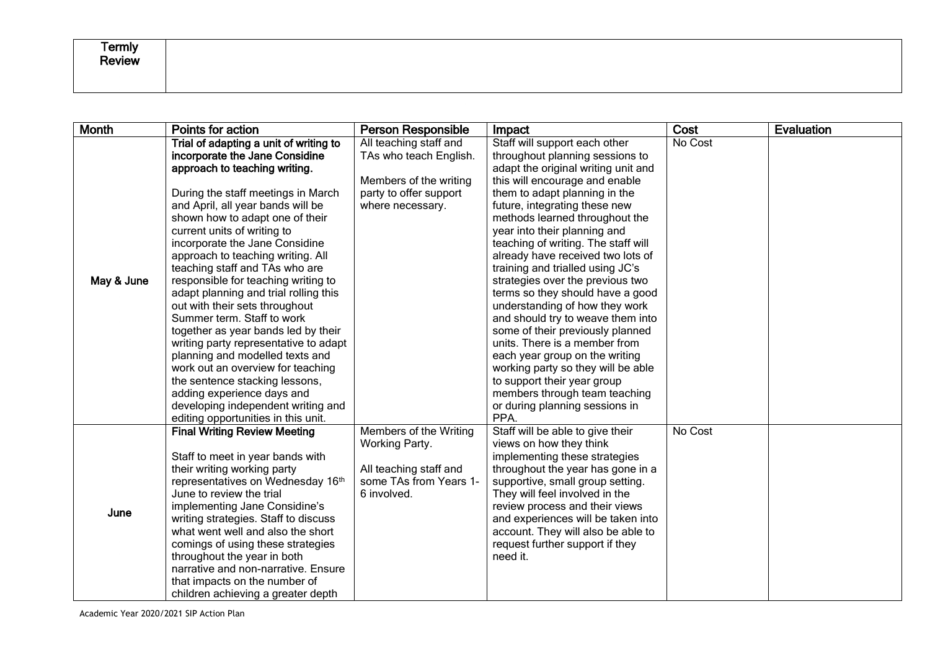| <b>Termly</b><br>$\sim$<br>Review |  |
|-----------------------------------|--|
|                                   |  |

| <b>Month</b> | Points for action                                               | <b>Person Responsible</b> | Impact                                                             | Cost    | <b>Evaluation</b> |
|--------------|-----------------------------------------------------------------|---------------------------|--------------------------------------------------------------------|---------|-------------------|
|              | Trial of adapting a unit of writing to                          | All teaching staff and    | Staff will support each other                                      | No Cost |                   |
|              | incorporate the Jane Considine                                  | TAs who teach English.    | throughout planning sessions to                                    |         |                   |
|              | approach to teaching writing.                                   |                           | adapt the original writing unit and                                |         |                   |
|              |                                                                 | Members of the writing    | this will encourage and enable                                     |         |                   |
|              | During the staff meetings in March                              | party to offer support    | them to adapt planning in the                                      |         |                   |
|              | and April, all year bands will be                               | where necessary.          | future, integrating these new                                      |         |                   |
|              | shown how to adapt one of their                                 |                           | methods learned throughout the                                     |         |                   |
|              | current units of writing to                                     |                           | year into their planning and                                       |         |                   |
|              | incorporate the Jane Considine                                  |                           | teaching of writing. The staff will                                |         |                   |
|              | approach to teaching writing. All                               |                           | already have received two lots of                                  |         |                   |
|              | teaching staff and TAs who are                                  |                           | training and trialled using JC's                                   |         |                   |
| May & June   | responsible for teaching writing to                             |                           | strategies over the previous two                                   |         |                   |
|              | adapt planning and trial rolling this                           |                           | terms so they should have a good                                   |         |                   |
|              | out with their sets throughout                                  |                           | understanding of how they work                                     |         |                   |
|              | Summer term. Staff to work                                      |                           | and should try to weave them into                                  |         |                   |
|              | together as year bands led by their                             |                           | some of their previously planned                                   |         |                   |
|              | writing party representative to adapt                           |                           | units. There is a member from                                      |         |                   |
|              | planning and modelled texts and                                 |                           | each year group on the writing                                     |         |                   |
|              | work out an overview for teaching                               |                           | working party so they will be able                                 |         |                   |
|              | the sentence stacking lessons,                                  |                           | to support their year group                                        |         |                   |
|              | adding experience days and                                      |                           | members through team teaching                                      |         |                   |
|              | developing independent writing and                              |                           | or during planning sessions in                                     |         |                   |
|              | editing opportunities in this unit.                             |                           | PPA.                                                               |         |                   |
|              | <b>Final Writing Review Meeting</b>                             | Members of the Writing    | Staff will be able to give their                                   | No Cost |                   |
|              |                                                                 | Working Party.            | views on how they think                                            |         |                   |
|              | Staff to meet in year bands with<br>their writing working party | All teaching staff and    | implementing these strategies<br>throughout the year has gone in a |         |                   |
|              | representatives on Wednesday 16th                               | some TAs from Years 1-    |                                                                    |         |                   |
|              | June to review the trial                                        | 6 involved.               | supportive, small group setting.<br>They will feel involved in the |         |                   |
|              | implementing Jane Considine's                                   |                           | review process and their views                                     |         |                   |
| June         | writing strategies. Staff to discuss                            |                           | and experiences will be taken into                                 |         |                   |
|              | what went well and also the short                               |                           | account. They will also be able to                                 |         |                   |
|              | comings of using these strategies                               |                           | request further support if they                                    |         |                   |
|              | throughout the year in both                                     |                           | need it.                                                           |         |                   |
|              | narrative and non-narrative. Ensure                             |                           |                                                                    |         |                   |
|              | that impacts on the number of                                   |                           |                                                                    |         |                   |
|              | children achieving a greater depth                              |                           |                                                                    |         |                   |